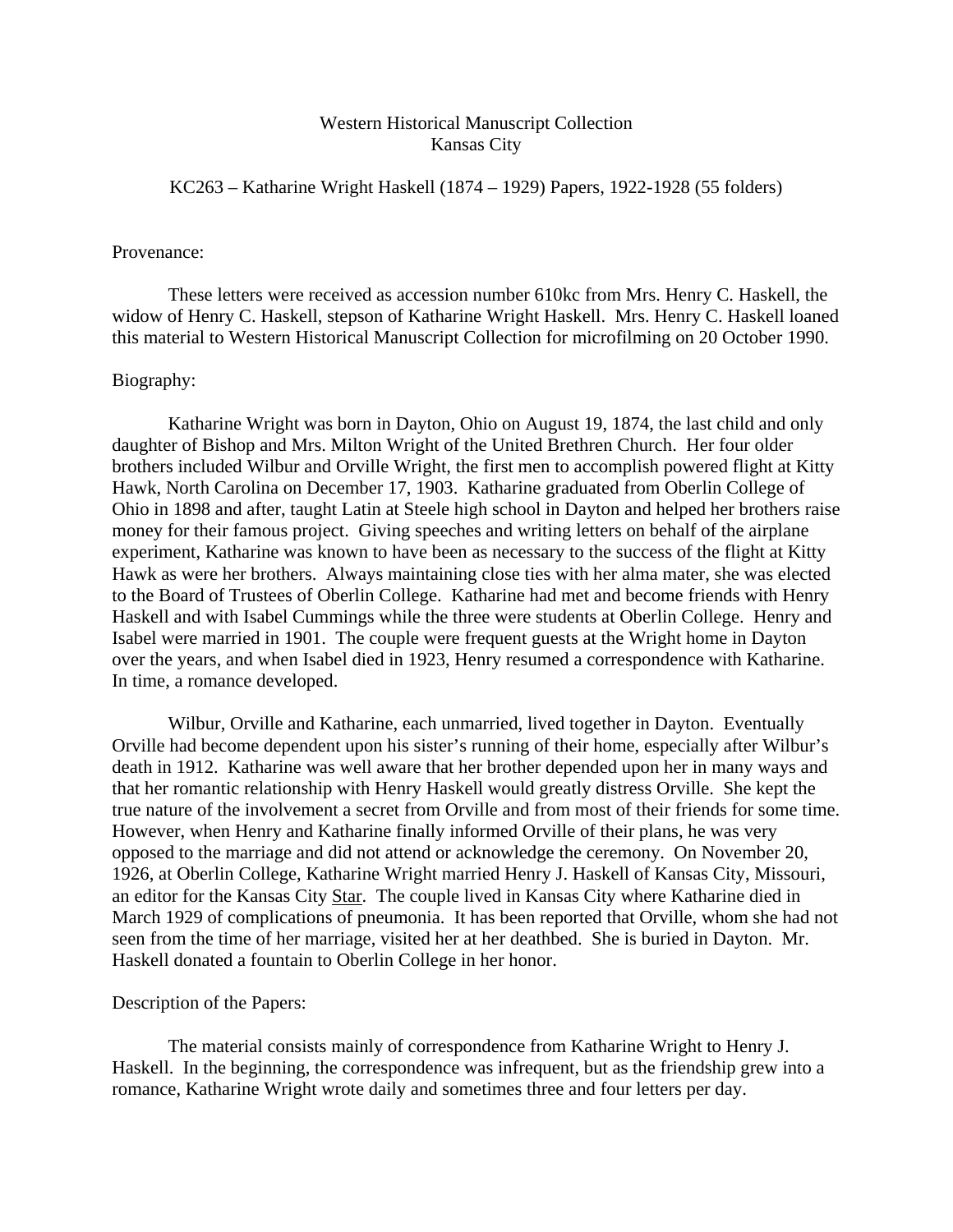## Western Historical Manuscript Collection Kansas City

### KC263 – Katharine Wright Haskell (1874 – 1929) Papers, 1922-1928 (55 folders)

#### Provenance:

These letters were received as accession number 610kc from Mrs. Henry C. Haskell, the widow of Henry C. Haskell, stepson of Katharine Wright Haskell. Mrs. Henry C. Haskell loaned this material to Western Historical Manuscript Collection for microfilming on 20 October 1990.

### Biography:

Katharine Wright was born in Dayton, Ohio on August 19, 1874, the last child and only daughter of Bishop and Mrs. Milton Wright of the United Brethren Church. Her four older brothers included Wilbur and Orville Wright, the first men to accomplish powered flight at Kitty Hawk, North Carolina on December 17, 1903. Katharine graduated from Oberlin College of Ohio in 1898 and after, taught Latin at Steele high school in Dayton and helped her brothers raise money for their famous project. Giving speeches and writing letters on behalf of the airplane experiment, Katharine was known to have been as necessary to the success of the flight at Kitty Hawk as were her brothers. Always maintaining close ties with her alma mater, she was elected to the Board of Trustees of Oberlin College. Katharine had met and become friends with Henry Haskell and with Isabel Cummings while the three were students at Oberlin College. Henry and Isabel were married in 1901. The couple were frequent guests at the Wright home in Dayton over the years, and when Isabel died in 1923, Henry resumed a correspondence with Katharine. In time, a romance developed.

Wilbur, Orville and Katharine, each unmarried, lived together in Dayton. Eventually Orville had become dependent upon his sister's running of their home, especially after Wilbur's death in 1912. Katharine was well aware that her brother depended upon her in many ways and that her romantic relationship with Henry Haskell would greatly distress Orville. She kept the true nature of the involvement a secret from Orville and from most of their friends for some time. However, when Henry and Katharine finally informed Orville of their plans, he was very opposed to the marriage and did not attend or acknowledge the ceremony. On November 20, 1926, at Oberlin College, Katharine Wright married Henry J. Haskell of Kansas City, Missouri, an editor for the Kansas City Star. The couple lived in Kansas City where Katharine died in March 1929 of complications of pneumonia. It has been reported that Orville, whom she had not seen from the time of her marriage, visited her at her deathbed. She is buried in Dayton. Mr. Haskell donated a fountain to Oberlin College in her honor.

#### Description of the Papers:

The material consists mainly of correspondence from Katharine Wright to Henry J. Haskell. In the beginning, the correspondence was infrequent, but as the friendship grew into a romance, Katharine Wright wrote daily and sometimes three and four letters per day.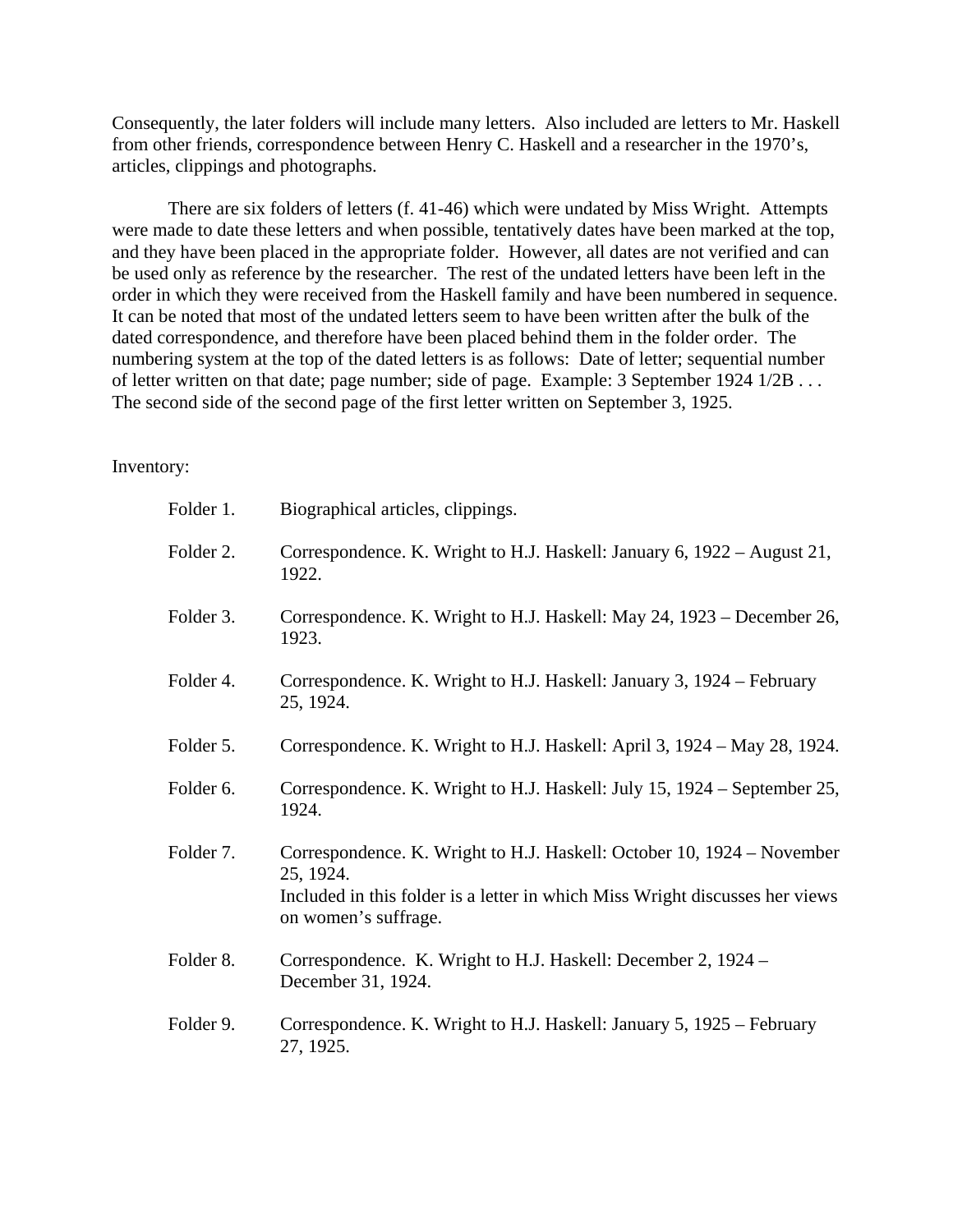Consequently, the later folders will include many letters. Also included are letters to Mr. Haskell from other friends, correspondence between Henry C. Haskell and a researcher in the 1970's, articles, clippings and photographs.

There are six folders of letters (f. 41-46) which were undated by Miss Wright. Attempts were made to date these letters and when possible, tentatively dates have been marked at the top, and they have been placed in the appropriate folder. However, all dates are not verified and can be used only as reference by the researcher. The rest of the undated letters have been left in the order in which they were received from the Haskell family and have been numbered in sequence. It can be noted that most of the undated letters seem to have been written after the bulk of the dated correspondence, and therefore have been placed behind them in the folder order. The numbering system at the top of the dated letters is as follows: Date of letter; sequential number of letter written on that date; page number; side of page. Example: 3 September 1924 1/2B . . . The second side of the second page of the first letter written on September 3, 1925.

Inventory:

| Folder 1. | Biographical articles, clippings.                                                                                                                                                           |
|-----------|---------------------------------------------------------------------------------------------------------------------------------------------------------------------------------------------|
| Folder 2. | Correspondence. K. Wright to H.J. Haskell: January 6, 1922 – August 21,<br>1922.                                                                                                            |
| Folder 3. | Correspondence. K. Wright to H.J. Haskell: May 24, 1923 – December 26,<br>1923.                                                                                                             |
| Folder 4. | Correspondence. K. Wright to H.J. Haskell: January 3, 1924 – February<br>25, 1924.                                                                                                          |
| Folder 5. | Correspondence. K. Wright to H.J. Haskell: April 3, 1924 – May 28, 1924.                                                                                                                    |
| Folder 6. | Correspondence. K. Wright to H.J. Haskell: July 15, 1924 – September 25,<br>1924.                                                                                                           |
| Folder 7. | Correspondence. K. Wright to H.J. Haskell: October 10, 1924 – November<br>25, 1924.<br>Included in this folder is a letter in which Miss Wright discusses her views<br>on women's suffrage. |
| Folder 8. | Correspondence. K. Wright to H.J. Haskell: December 2, 1924 –<br>December 31, 1924.                                                                                                         |
| Folder 9. | Correspondence. K. Wright to H.J. Haskell: January 5, 1925 – February<br>27, 1925.                                                                                                          |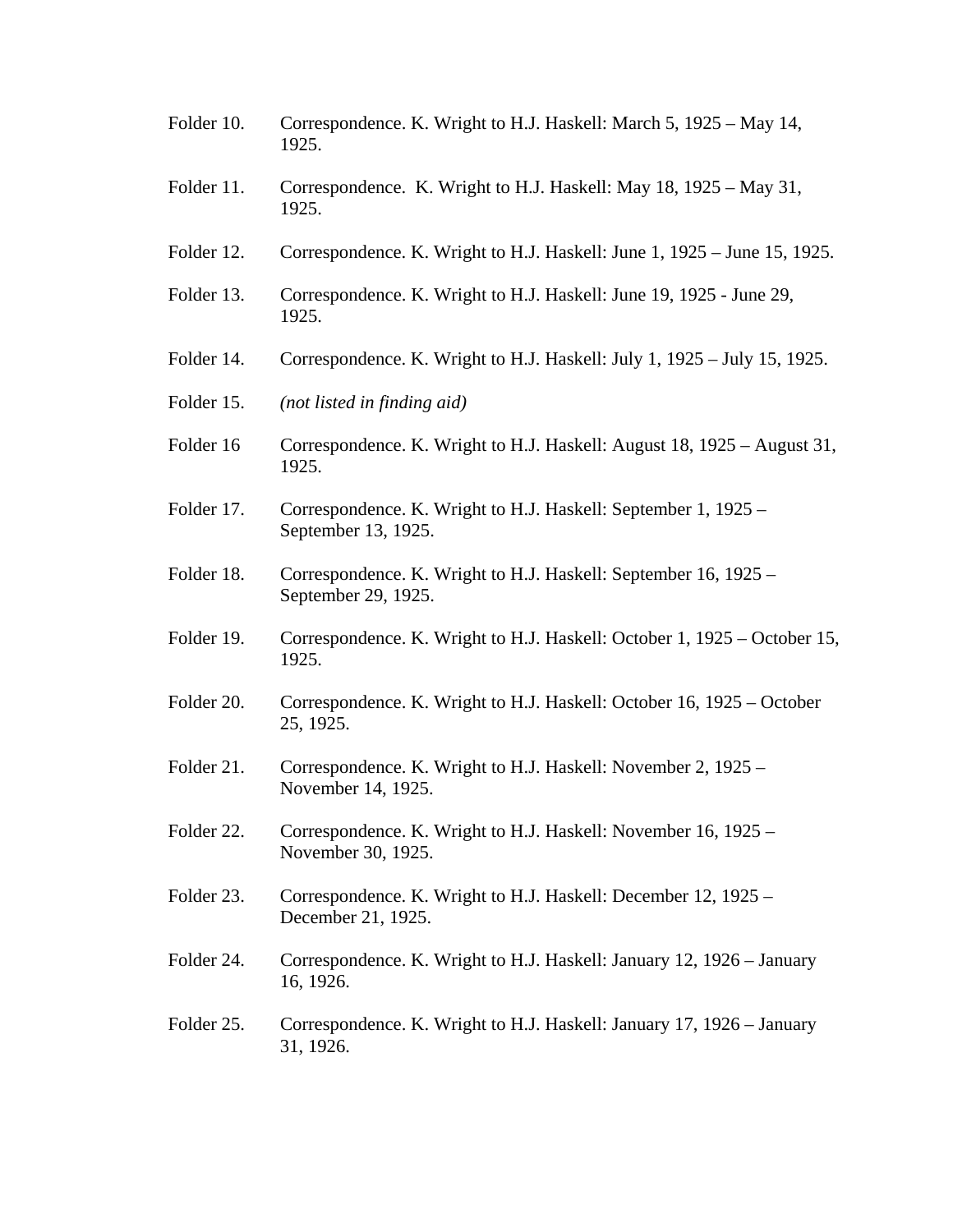- Folder 10. Correspondence. K. Wright to H.J. Haskell: March 5, 1925 May 14, 1925.
- Folder 11. Correspondence. K. Wright to H.J. Haskell: May 18, 1925 May 31, 1925.
- Folder 12. Correspondence. K. Wright to H.J. Haskell: June 1, 1925 June 15, 1925.
- Folder 13. Correspondence. K. Wright to H.J. Haskell: June 19, 1925 June 29, 1925.
- Folder 14. Correspondence. K. Wright to H.J. Haskell: July 1, 1925 July 15, 1925.
- Folder 15. *(not listed in finding aid)*
- Folder 16 Correspondence. K. Wright to H.J. Haskell: August 18, 1925 August 31, 1925.
- Folder 17. Correspondence. K. Wright to H.J. Haskell: September 1, 1925 September 13, 1925.
- Folder 18. Correspondence. K. Wright to H.J. Haskell: September 16, 1925 September 29, 1925.
- Folder 19. Correspondence. K. Wright to H.J. Haskell: October 1, 1925 October 15, 1925.
- Folder 20. Correspondence. K. Wright to H.J. Haskell: October 16, 1925 October 25, 1925.
- Folder 21. Correspondence. K. Wright to H.J. Haskell: November 2, 1925 November 14, 1925.
- Folder 22. Correspondence. K. Wright to H.J. Haskell: November 16, 1925 November 30, 1925.
- Folder 23. Correspondence. K. Wright to H.J. Haskell: December 12, 1925 December 21, 1925.
- Folder 24. Correspondence. K. Wright to H.J. Haskell: January 12, 1926 January 16, 1926.
- Folder 25. Correspondence. K. Wright to H.J. Haskell: January 17, 1926 January 31, 1926.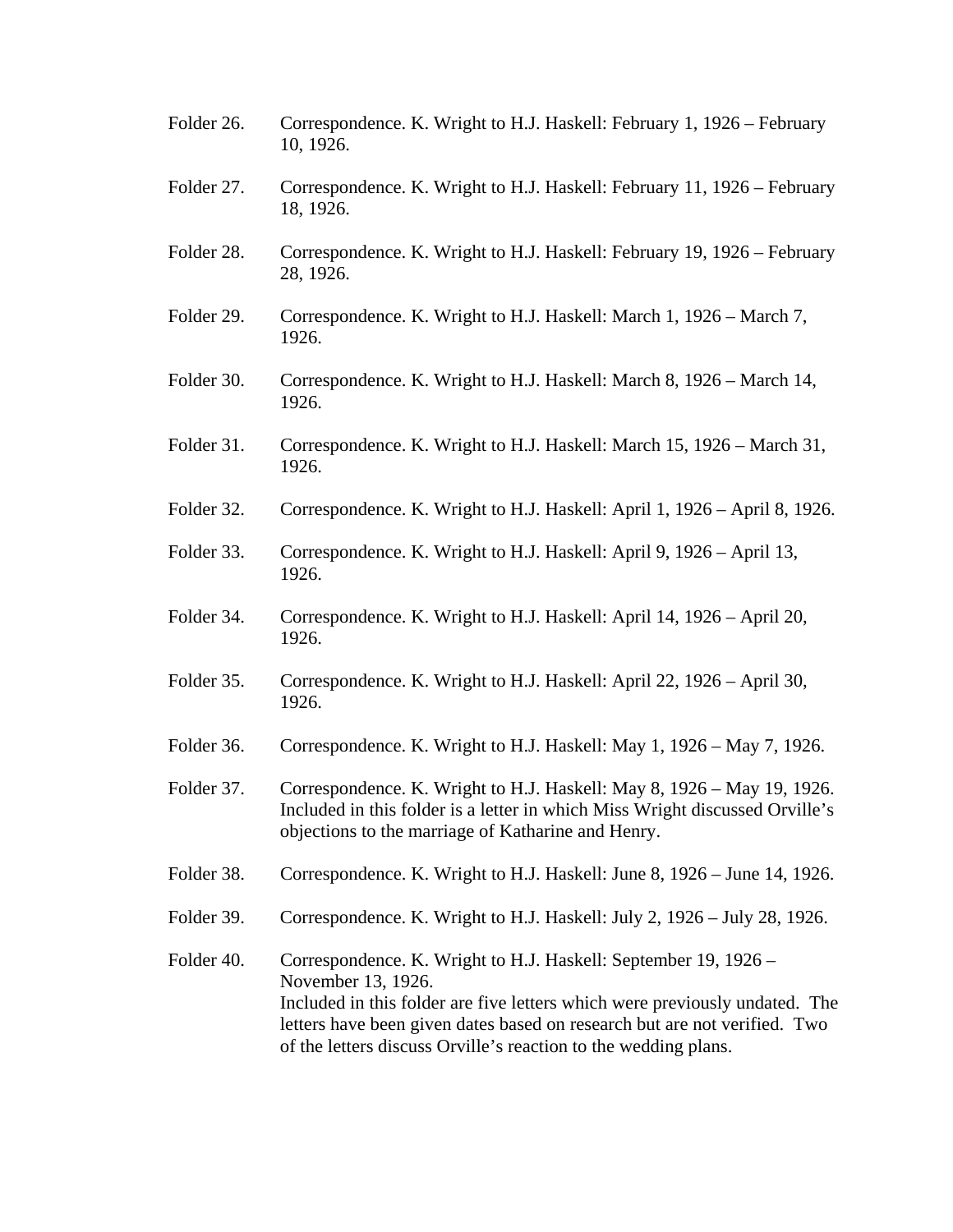- Folder 26. Correspondence. K. Wright to H.J. Haskell: February 1, 1926 February 10, 1926.
- Folder 27. Correspondence. K. Wright to H.J. Haskell: February 11, 1926 February 18, 1926.
- Folder 28. Correspondence. K. Wright to H.J. Haskell: February 19, 1926 February 28, 1926.
- Folder 29. Correspondence. K. Wright to H.J. Haskell: March 1, 1926 March 7, 1926.
- Folder 30. Correspondence. K. Wright to H.J. Haskell: March 8, 1926 March 14, 1926.
- Folder 31. Correspondence. K. Wright to H.J. Haskell: March 15, 1926 March 31, 1926.
- Folder 32. Correspondence. K. Wright to H.J. Haskell: April 1, 1926 April 8, 1926.
- Folder 33. Correspondence. K. Wright to H.J. Haskell: April 9, 1926 April 13, 1926.
- Folder 34. Correspondence. K. Wright to H.J. Haskell: April 14, 1926 April 20, 1926.
- Folder 35. Correspondence. K. Wright to H.J. Haskell: April 22, 1926 April 30, 1926.
- Folder 36. Correspondence. K. Wright to H.J. Haskell: May 1, 1926 May 7, 1926.
- Folder 37. Correspondence. K. Wright to H.J. Haskell: May 8, 1926 May 19, 1926. Included in this folder is a letter in which Miss Wright discussed Orville's objections to the marriage of Katharine and Henry.
- Folder 38. Correspondence. K. Wright to H.J. Haskell: June 8, 1926 June 14, 1926.
- Folder 39. Correspondence. K. Wright to H.J. Haskell: July 2, 1926 July 28, 1926.
- Folder 40. Correspondence. K. Wright to H.J. Haskell: September 19, 1926 November 13, 1926. Included in this folder are five letters which were previously undated. The letters have been given dates based on research but are not verified. Two of the letters discuss Orville's reaction to the wedding plans.